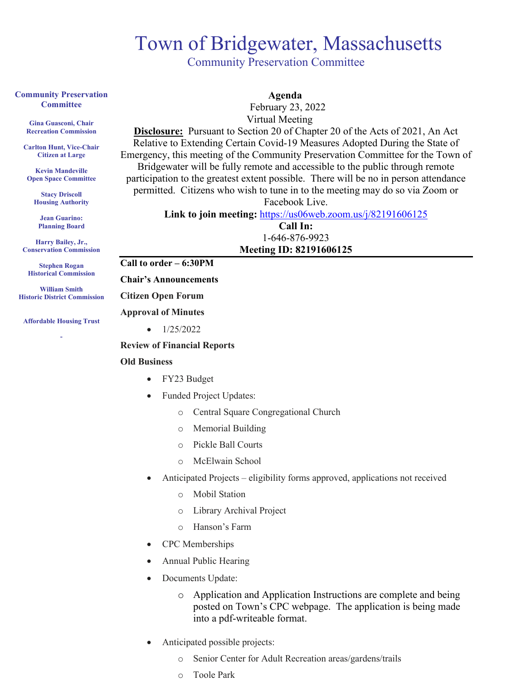## Town of Bridgewater, Massachusetts<br>
Community Preservation Committee

#### **Community Preservation Committee**

**Gina Guasconi, Chair Recreation Commission**

**Carlton Hunt, Vice-Chair Citizen at Large**

**Kevin Mandeville Open Space Committee**

> **Stacy Driscoll Housing Authority**

**Jean Guarino: Planning Board**

**Harry Bailey, Jr., Conservation Commission** 

**Stephen Rogan Historical Commission**

**William Smith Historic District Commission**

**Affordable Housing Trust**

**-**

 **Agenda**

 February 23, 2022 Virtual Meeting

**Disclosure:** Pursuant to Section 20 of Chapter 20 of the Acts of 2021, An Act Relative to Extending Certain Covid-19 Measures Adopted During the State of Emergency, this meeting of the Community Preservation Committee for the Town of Bridgewater will be fully remote and accessible to the public through remote participation to the greatest extent possible. There will be no in person attendance permitted. Citizens who wish to tune in to the meeting may do so via Zoom or

Facebook Live.

Link to join meeting: <https://us06web.zoom.us/j/82191606125>

**Call In:** 1-646-876-9923 **Meeting ID: 82191606125**

#### **Call to order – 6:30PM**

#### **Chair's Announcements**

#### **Citizen Open Forum**

### **Approval of Minutes**

 $\bullet$  1/25/2022

#### **Review of Financial Reports**

#### **Old Business**

- FY23 Budget
- Funded Project Updates:
	- o Central Square Congregational Church
	- o Memorial Building
	- o Pickle Ball Courts
	- o McElwain School
- Anticipated Projects eligibility forms approved, applications not received
	- o Mobil Station
	- o Library Archival Project
	- o Hanson's Farm
- CPC Memberships
- Annual Public Hearing
- Documents Update:
	- o Application and Application Instructions are complete and being posted on Town's CPC webpage. The application is being made into a pdf-writeable format.
- Anticipated possible projects:
	- o Senior Center for Adult Recreation areas/gardens/trails
	- o Toole Park